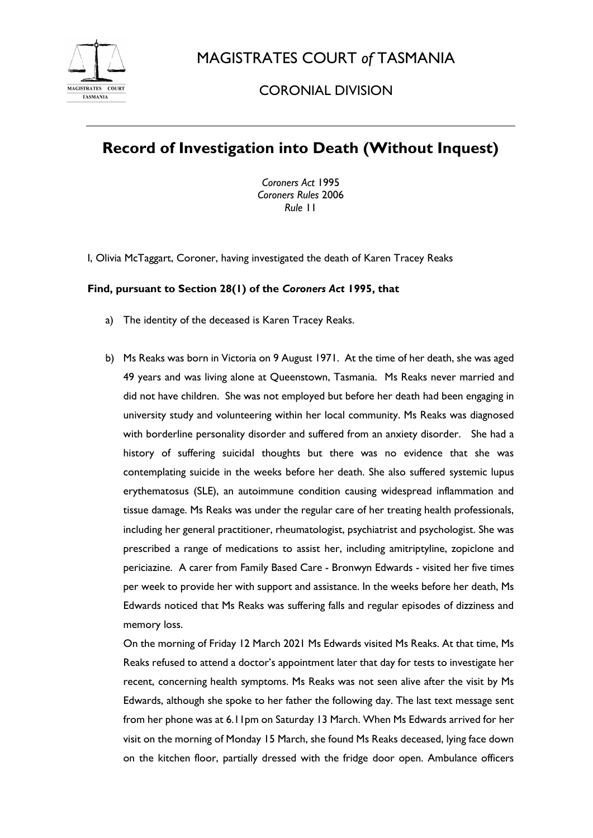

MAGISTRATES COURT *of* TASMANIA

## CORONIAL DIVISION

## **Record of Investigation into Death (Without Inquest)**

*Coroners Act* 1995 *Coroners Rules* 2006 *Rule* 11

I, Olivia McTaggart, Coroner, having investigated the death of Karen Tracey Reaks

## **Find, pursuant to Section 28(1) of the** *Coroners Act* **1995, that**

- a) The identity of the deceased is Karen Tracey Reaks.
- b) Ms Reaks was born in Victoria on 9 August 1971. At the time of her death, she was aged 49 years and was living alone at Queenstown, Tasmania. Ms Reaks never married and did not have children. She was not employed but before her death had been engaging in university study and volunteering within her local community. Ms Reaks was diagnosed with borderline personality disorder and suffered from an anxiety disorder. She had a history of suffering suicidal thoughts but there was no evidence that she was contemplating suicide in the weeks before her death. She also suffered systemic lupus erythematosus (SLE), an autoimmune condition causing widespread inflammation and tissue damage. Ms Reaks was under the regular care of her treating health professionals, including her general practitioner, rheumatologist, psychiatrist and psychologist. She was prescribed a range of medications to assist her, including amitriptyline, zopiclone and periciazine. A carer from Family Based Care - Bronwyn Edwards - visited her five times per week to provide her with support and assistance. In the weeks before her death, Ms Edwards noticed that Ms Reaks was suffering falls and regular episodes of dizziness and memory loss.

On the morning of Friday 12 March 2021 Ms Edwards visited Ms Reaks. At that time, Ms Reaks refused to attend a doctor's appointment later that day for tests to investigate her recent, concerning health symptoms. Ms Reaks was not seen alive after the visit by Ms Edwards, although she spoke to her father the following day. The last text message sent from her phone was at 6.11pm on Saturday 13 March. When Ms Edwards arrived for her visit on the morning of Monday 15 March, she found Ms Reaks deceased, lying face down on the kitchen floor, partially dressed with the fridge door open. Ambulance officers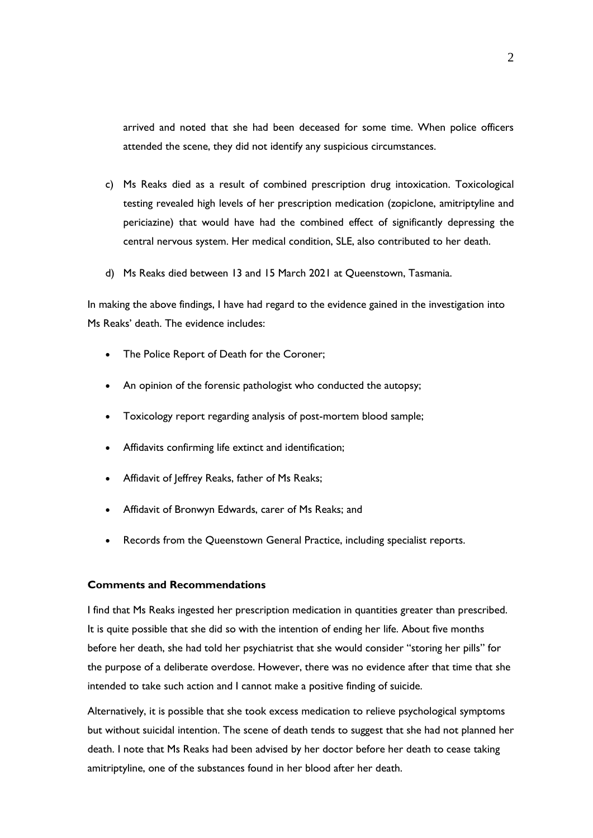arrived and noted that she had been deceased for some time. When police officers attended the scene, they did not identify any suspicious circumstances.

- c) Ms Reaks died as a result of combined prescription drug intoxication. Toxicological testing revealed high levels of her prescription medication (zopiclone, amitriptyline and periciazine) that would have had the combined effect of significantly depressing the central nervous system. Her medical condition, SLE, also contributed to her death.
- d) Ms Reaks died between 13 and 15 March 2021 at Queenstown, Tasmania.

In making the above findings, I have had regard to the evidence gained in the investigation into Ms Reaks' death. The evidence includes:

- The Police Report of Death for the Coroner;
- An opinion of the forensic pathologist who conducted the autopsy;
- Toxicology report regarding analysis of post-mortem blood sample;
- Affidavits confirming life extinct and identification;
- Affidavit of Jeffrey Reaks, father of Ms Reaks;
- Affidavit of Bronwyn Edwards, carer of Ms Reaks; and
- Records from the Queenstown General Practice, including specialist reports.

## **Comments and Recommendations**

I find that Ms Reaks ingested her prescription medication in quantities greater than prescribed. It is quite possible that she did so with the intention of ending her life. About five months before her death, she had told her psychiatrist that she would consider "storing her pills" for the purpose of a deliberate overdose. However, there was no evidence after that time that she intended to take such action and I cannot make a positive finding of suicide.

Alternatively, it is possible that she took excess medication to relieve psychological symptoms but without suicidal intention. The scene of death tends to suggest that she had not planned her death. I note that Ms Reaks had been advised by her doctor before her death to cease taking amitriptyline, one of the substances found in her blood after her death.